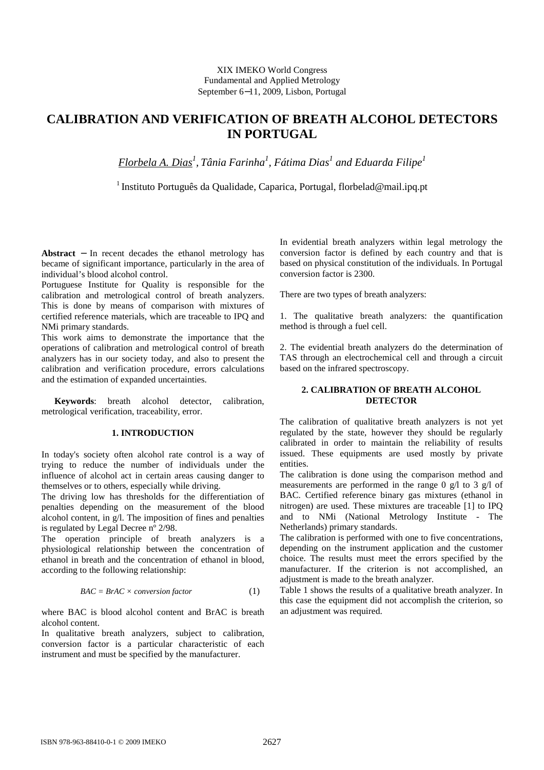# XIX IMEKO World Congress Fundamental and Applied Metrology September 6−11, 2009, Lisbon, Portugal

# **CALIBRATION AND VERIFICATION OF BREATH ALCOHOL DETECTORS IN PORTUGAL**

*Florbela A. Dias<sup>1</sup> , Tânia Farinha<sup>1</sup> , Fátima Dias<sup>1</sup> and Eduarda Filipe<sup>1</sup>*

<sup>1</sup> Instituto Português da Qualidade, Caparica, Portugal, florbelad@mail.ipq.pt

**Abstract** − In recent decades the ethanol metrology has became of significant importance, particularly in the area of individual's blood alcohol control.

Portuguese Institute for Quality is responsible for the calibration and metrological control of breath analyzers. This is done by means of comparison with mixtures of certified reference materials, which are traceable to IPQ and NMi primary standards.

This work aims to demonstrate the importance that the operations of calibration and metrological control of breath analyzers has in our society today, and also to present the calibration and verification procedure, errors calculations and the estimation of expanded uncertainties.

**Keywords**: breath alcohol detector, calibration, metrological verification, traceability, error.

## **1. INTRODUCTION**

In today's society often alcohol rate control is a way of trying to reduce the number of individuals under the influence of alcohol act in certain areas causing danger to themselves or to others, especially while driving.

The driving low has thresholds for the differentiation of penalties depending on the measurement of the blood alcohol content, in  $g/l$ . The imposition of fines and penalties is regulated by Legal Decree  $n^{\circ}$  2/98.

The operation principle of breath analyzers is a physiological relationship between the concentration of ethanol in breath and the concentration of ethanol in blood, according to the following relationship:

$$
BAC = BrAC \times conversion factor \qquad (1)
$$

where BAC is blood alcohol content and BrAC is breath alcohol content.

In qualitative breath analyzers, subject to calibration, conversion factor is a particular characteristic of each instrument and must be specified by the manufacturer.

In evidential breath analyzers within legal metrology the conversion factor is defined by each country and that is based on physical constitution of the individuals. In Portugal conversion factor is 2300.

There are two types of breath analyzers:

1. The qualitative breath analyzers: the quantification method is through a fuel cell.

2. The evidential breath analyzers do the determination of TAS through an electrochemical cell and through a circuit based on the infrared spectroscopy.

# **2. CALIBRATION OF BREATH ALCOHOL DETECTOR**

The calibration of qualitative breath analyzers is not yet regulated by the state, however they should be regularly calibrated in order to maintain the reliability of results issued. These equipments are used mostly by private entities.

The calibration is done using the comparison method and measurements are performed in the range 0 g/l to 3 g/l of BAC. Certified reference binary gas mixtures (ethanol in nitrogen) are used. These mixtures are traceable [1] to IPQ and to NMi (National Metrology Institute - The Netherlands) primary standards.

The calibration is performed with one to five concentrations, depending on the instrument application and the customer choice. The results must meet the errors specified by the manufacturer. If the criterion is not accomplished, an adjustment is made to the breath analyzer.

Table 1 shows the results of a qualitative breath analyzer. In this case the equipment did not accomplish the criterion, so an adjustment was required.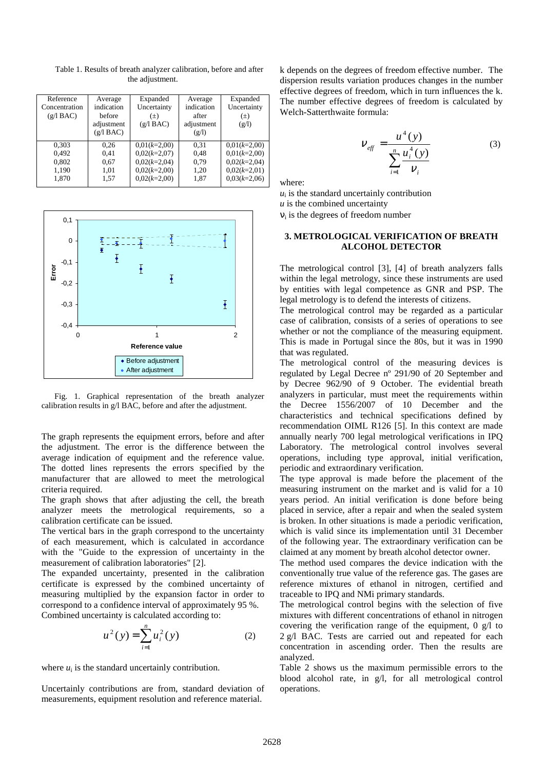| Reference<br>Concentration<br>(g/l BAC) | Average<br>indication<br>before<br>adjustment<br>(g/l BAC) | Expanded<br>Uncertainty<br>$(\pm)$<br>(g/1 BAC) | Average<br>indication<br>after<br>adjustment<br>(g/l) | Expanded<br>Uncertainty<br>$(\pm)$<br>(g/l) |
|-----------------------------------------|------------------------------------------------------------|-------------------------------------------------|-------------------------------------------------------|---------------------------------------------|
| 0,303                                   | 0.26                                                       | $0.01(k=2.00)$                                  | 0.31                                                  | $0.01(k=2,00)$                              |
| 0.492                                   | 0.41                                                       | $0.02(k=2.07)$                                  | 0,48                                                  | $0.01(k=2.00)$                              |
| 0,802                                   | 0.67                                                       | $0.02(k=2.04)$                                  | 0.79                                                  | $0.02(k=2.04)$                              |
| 1,190                                   | 1,01                                                       | $0.02(k=2.00)$                                  | 1,20                                                  | $0.02(k=2.01)$                              |
| 1.870                                   | 1,57                                                       | $0.02(k=2.00)$                                  | 1,87                                                  | $0.03(k=2.06)$                              |

Table 1. Results of breath analyzer calibration, before and after the adjustment.



Fig. 1. Graphical representation of the breath analyzer calibration results in g/l BAC, before and after the adjustment.

The graph represents the equipment errors, before and after the adjustment. The error is the difference between the average indication of equipment and the reference value. The dotted lines represents the errors specified by the manufacturer that are allowed to meet the metrological criteria required.

The graph shows that after adjusting the cell, the breath analyzer meets the metrological requirements, so a calibration certificate can be issued.

The vertical bars in the graph correspond to the uncertainty of each measurement, which is calculated in accordance with the "Guide to the expression of uncertainty in the measurement of calibration laboratories" [2].

The expanded uncertainty, presented in the calibration certificate is expressed by the combined uncertainty of measuring multiplied by the expansion factor in order to correspond to a confidence interval of approximately 95 %. Combined uncertainty is calculated according to:

$$
u^{2}(y) = \sum_{i=1}^{n} u_{i}^{2}(y)
$$
 (2)

where  $u_i$  is the standard uncertainly contribution.

Uncertainly contributions are from, standard deviation of measurements, equipment resolution and reference material.

k depends on the degrees of freedom effective number. The dispersion results variation produces changes in the number effective degrees of freedom, which in turn influences the k. The number effective degrees of freedom is calculated by Welch-Satterthwaite formula:

$$
V_{\text{eff}} = \frac{u^4(y)}{\sum_{i=1}^n \frac{u_i^4(y)}{v_i}}
$$
 (3)

where:

 $u_i$  is the standard uncertainly contribution *u* is the combined uncertainty  $v_i$  is the degrees of freedom number

# **3. METROLOGICAL VERIFICATION OF BREATH ALCOHOL DETECTOR**

The metrological control [3], [4] of breath analyzers falls within the legal metrology, since these instruments are used by entities with legal competence as GNR and PSP. The legal metrology is to defend the interests of citizens.

The metrological control may be regarded as a particular case of calibration, consists of a series of operations to see whether or not the compliance of the measuring equipment. This is made in Portugal since the 80s, but it was in 1990 that was regulated.

The metrological control of the measuring devices is regulated by Legal Decree nº 291/90 of 20 September and by Decree 962/90 of 9 October. The evidential breath analyzers in particular, must meet the requirements within the Decree 1556/2007 of 10 December and the characteristics and technical specifications defined by recommendation OIML R126 [5]. In this context are made annually nearly 700 legal metrological verifications in IPQ Laboratory. The metrological control involves several operations, including type approval, initial verification, periodic and extraordinary verification.

The type approval is made before the placement of the measuring instrument on the market and is valid for a 10 years period. An initial verification is done before being placed in service, after a repair and when the sealed system is broken. In other situations is made a periodic verification, which is valid since its implementation until 31 December of the following year. The extraordinary verification can be claimed at any moment by breath alcohol detector owner.

The method used compares the device indication with the conventionally true value of the reference gas. The gases are reference mixtures of ethanol in nitrogen, certified and traceable to IPQ and NMi primary standards.

The metrological control begins with the selection of five mixtures with different concentrations of ethanol in nitrogen covering the verification range of the equipment,  $0 \text{ g}/1$  to 2 g/l BAC. Tests are carried out and repeated for each concentration in ascending order. Then the results are analyzed.

Table 2 shows us the maximum permissible errors to the blood alcohol rate, in g/l, for all metrological control operations.